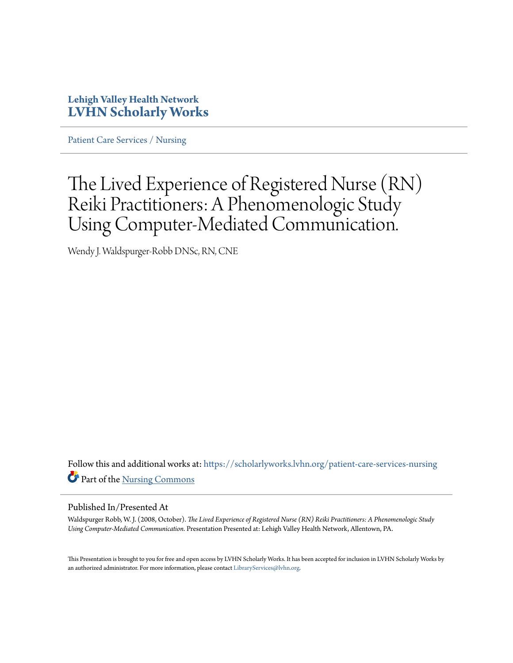#### **Lehigh Valley Health Network [LVHN Scholarly Works](https://scholarlyworks.lvhn.org?utm_source=scholarlyworks.lvhn.org%2Fpatient-care-services-nursing%2F792&utm_medium=PDF&utm_campaign=PDFCoverPages)**

[Patient Care Services / Nursing](https://scholarlyworks.lvhn.org/patient-care-services-nursing?utm_source=scholarlyworks.lvhn.org%2Fpatient-care-services-nursing%2F792&utm_medium=PDF&utm_campaign=PDFCoverPages)

#### The Lived Experience of Registered Nurse (RN) Reiki Practitioners: A Phenomenologic Study Using Computer-Mediated Communication.

Wendy J. Waldspurger-Robb DNSc, RN, CNE

Follow this and additional works at: [https://scholarlyworks.lvhn.org/patient-care-services-nursing](https://scholarlyworks.lvhn.org/patient-care-services-nursing?utm_source=scholarlyworks.lvhn.org%2Fpatient-care-services-nursing%2F792&utm_medium=PDF&utm_campaign=PDFCoverPages) Part of the [Nursing Commons](http://network.bepress.com/hgg/discipline/718?utm_source=scholarlyworks.lvhn.org%2Fpatient-care-services-nursing%2F792&utm_medium=PDF&utm_campaign=PDFCoverPages)

#### Published In/Presented At

Waldspurger Robb, W. J. (2008, October). *The Lived Experience of Registered Nurse (RN) Reiki Practitioners: A Phenomenologic Study Using Computer-Mediated Communication*. Presentation Presented at: Lehigh Valley Health Network, Allentown, PA.

This Presentation is brought to you for free and open access by LVHN Scholarly Works. It has been accepted for inclusion in LVHN Scholarly Works by an authorized administrator. For more information, please contact [LibraryServices@lvhn.org](mailto:LibraryServices@lvhn.org).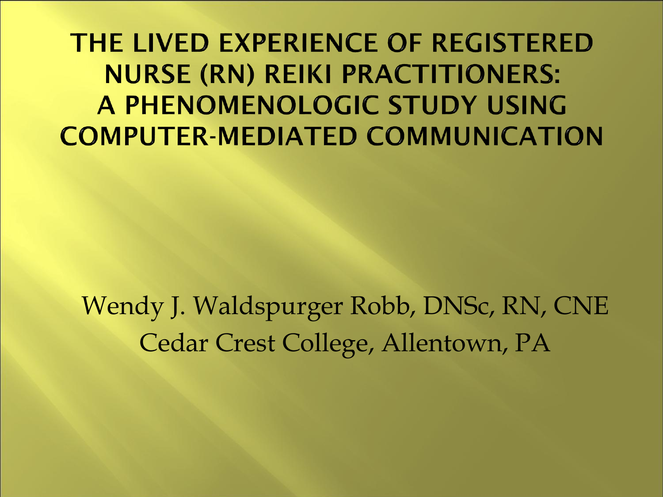THE LIVED EXPERIENCE OF REGISTERED **NURSE (RN) REIKI PRACTITIONERS:** A PHENOMENOLOGIC STUDY USING **COMPUTER-MEDIATED COMMUNICATION** 

Wendy J. Waldspurger Robb, DNSc, RN, CNE Cedar Crest College, Allentown, PA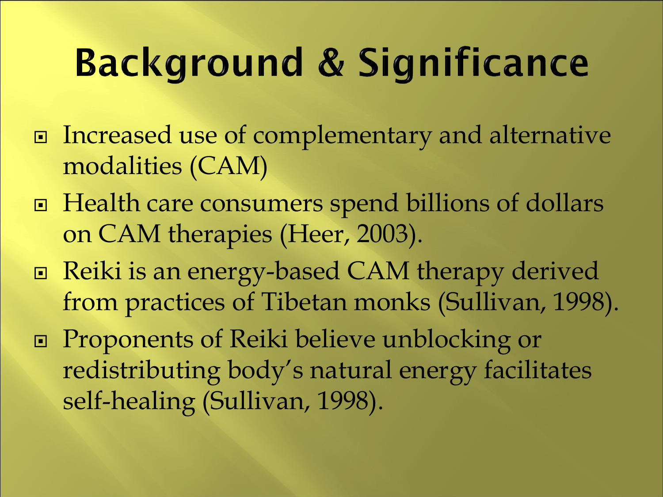# **Background & Significance**

- □ Increased use of complementary and alternative modalities (CAM)
- Health care consumers spend billions of dollars on CAM therapies (Heer, 2003).
- Reiki is an energy-based CAM therapy derived from practices of Tibetan monks (Sullivan, 1998).
- Proponents of Reiki believe unblocking or redistributing body's natural energy facilitates self-healing (Sullivan, 1998).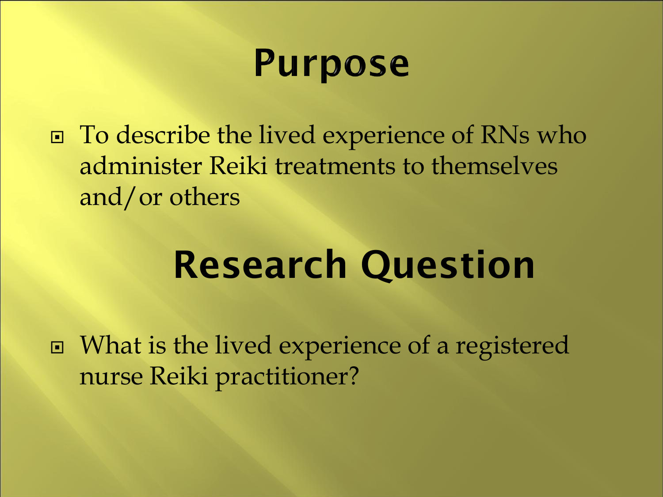### **Purpose**

□ To describe the lived experience of RNs who administer Reiki treatments to themselves and/or others

## **Research Question**

 What is the lived experience of a registered nurse Reiki practitioner?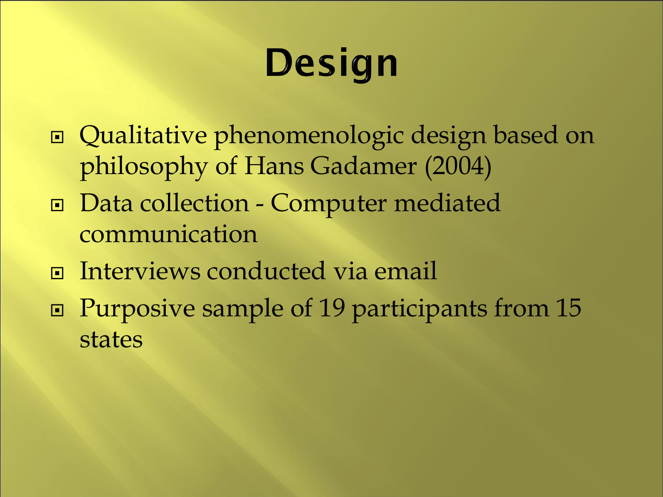# Design

- Qualitative phenomenologic design based on philosophy of Hans Gadamer (2004)
- Data collection Computer mediated communication
- Interviews conducted via email
- □ Purposive sample of 19 participants from 15 states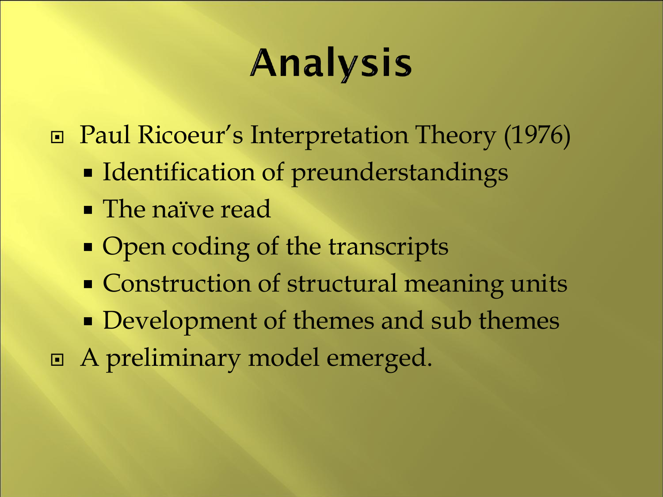# **Analysis**

Paul Ricoeur's Interpretation Theory (1976)

- **Identification of preunderstandings**
- **The naïve read**
- Open coding of the transcripts
- **Construction of structural meaning units**
- Development of themes and sub themes
- A preliminary model emerged.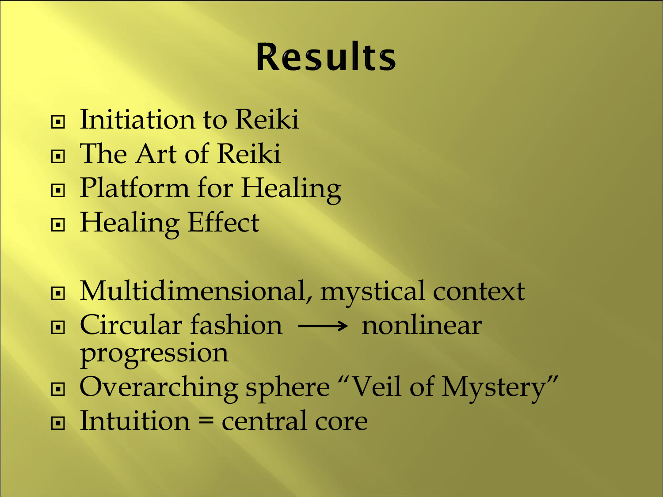## **Results**

- **□** Initiation to Reiki The Art of Reiki **□ Platform for Healing** ■ Healing Effect
- Multidimensional, mystical context
- $\Box$  Circular fashion  $\longrightarrow$  nonlinear progression
- Overarching sphere "Veil of Mystery"
- $\Box$  Intuition = central core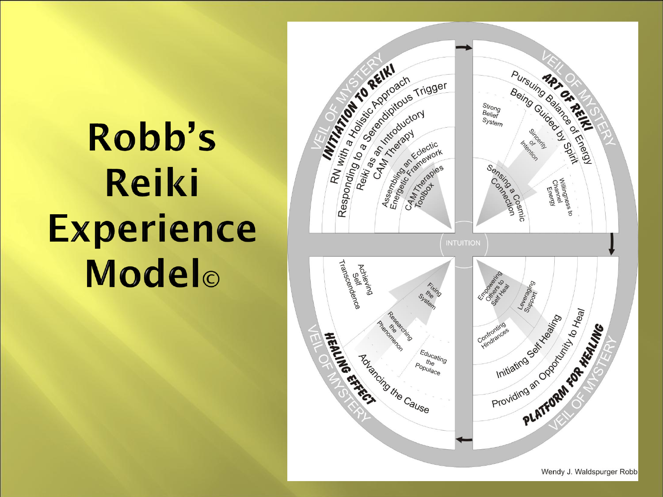# Robb's **Reiki Experience** Modelo

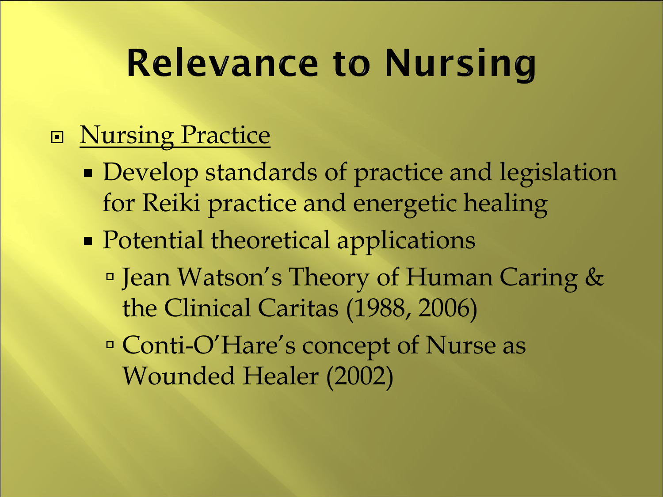## **Relevance to Nursing**

#### □ Nursing Practice

- **Develop standards of practice and legislation** for Reiki practice and energetic healing
- Potential theoretical applications
	- Jean Watson's Theory of Human Caring & the Clinical Caritas (1988, 2006)
	- Conti-O'Hare's concept of Nurse as Wounded Healer (2002)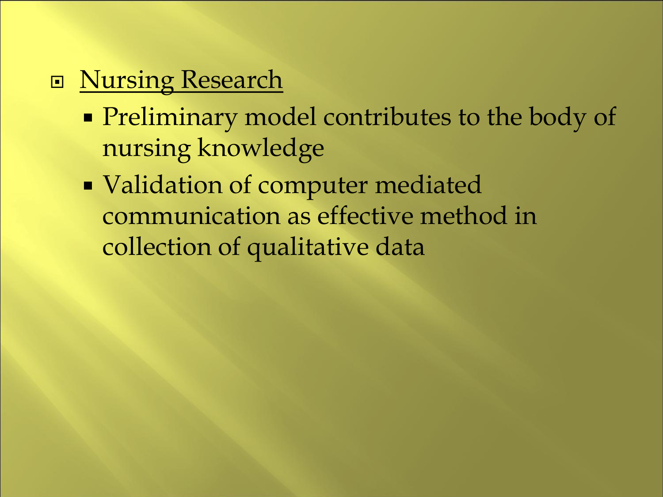#### **Nursing Research**

- **Preliminary model contributes to the body of** nursing knowledge
- **Validation of computer mediated** communication as effective method in collection of qualitative data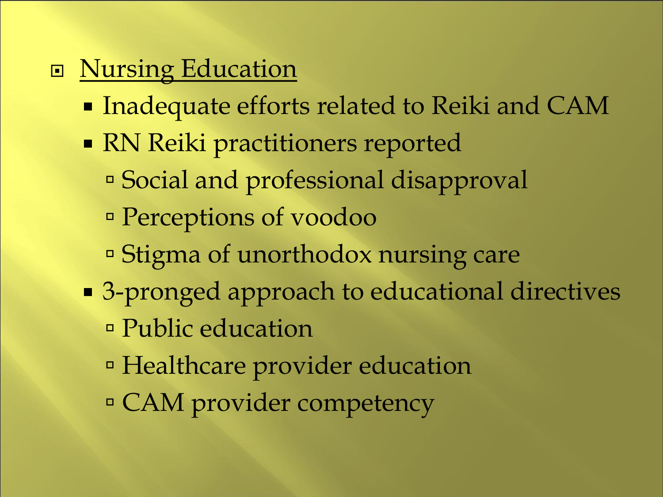### **Nursing Education**

- Inadequate efforts related to Reiki and CAM
- RN Reiki practitioners reported
	- Social and professional disapproval
	- Perceptions of voodoo
	- Stigma of unorthodox nursing care
- 3-pronged approach to educational directives Public education
	- Healthcare provider education
	- CAM provider competency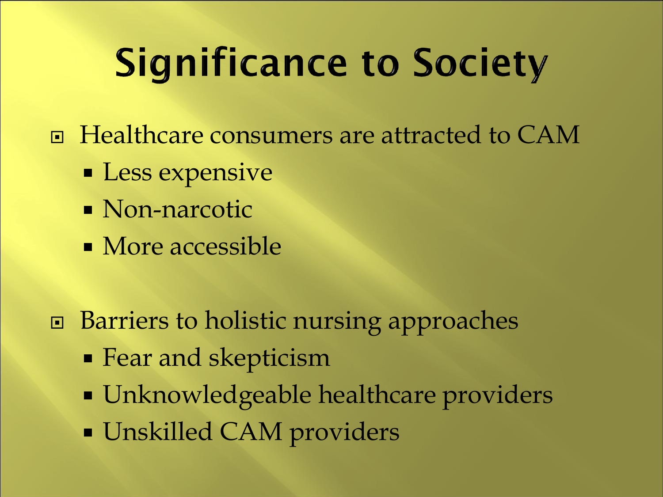# **Significance to Society**

- □ Healthcare consumers are attracted to CAM
	- **Less expensive**
	- Non-narcotic
	- More accessible
- **□** Barriers to holistic nursing approaches
	- Fear and skepticism
	- Unknowledgeable healthcare providers
	- Unskilled CAM providers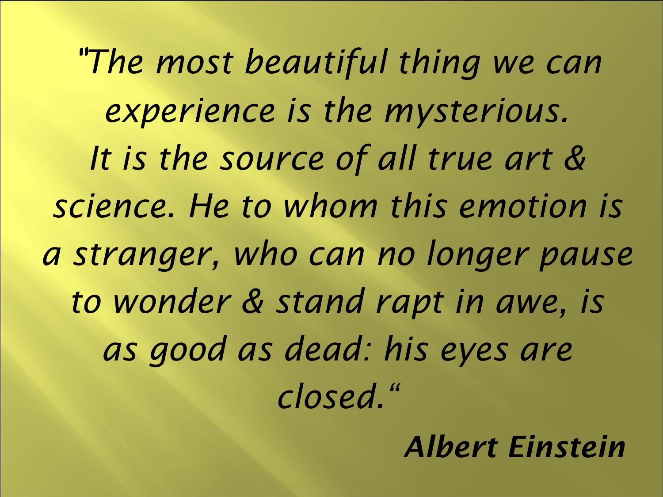"*The most beautiful thing we can experience is the mysterious. It is the source of all true art & science. He to whom this emotion is a stranger, who can no longer pause to wonder & stand rapt in awe, is as good as dead: his eyes are closed."*

*Albert Einstein*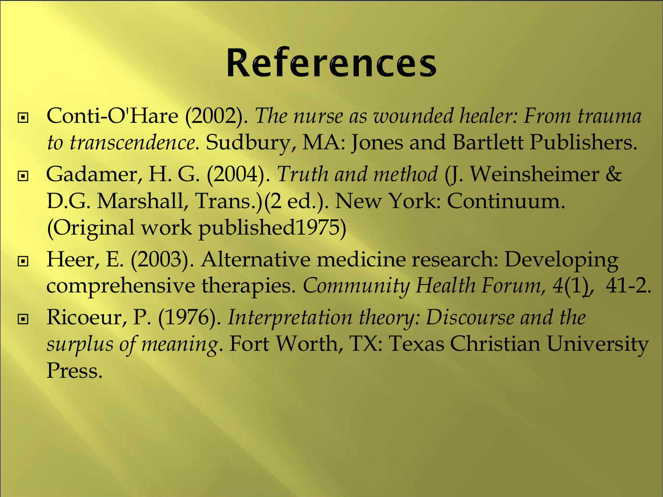## **References**

- Conti-O'Hare (2002). *The nurse as wounded healer: From trauma to transcendence.* Sudbury, MA: Jones and Bartlett Publishers.
- Gadamer, H. G. (2004). *Truth and method* (J. Weinsheimer & D.G. Marshall, Trans.)(2 ed.). New York: Continuum. (Original work published1975)
- □ Heer, E. (2003). Alternative medicine research: Developing comprehensive therapies. *Community Health Forum, 4*(1), 41-2.
- Ricoeur, P. (1976). *Interpretation theory: Discourse and the surplus of meaning*. Fort Worth, TX: Texas Christian University Press.